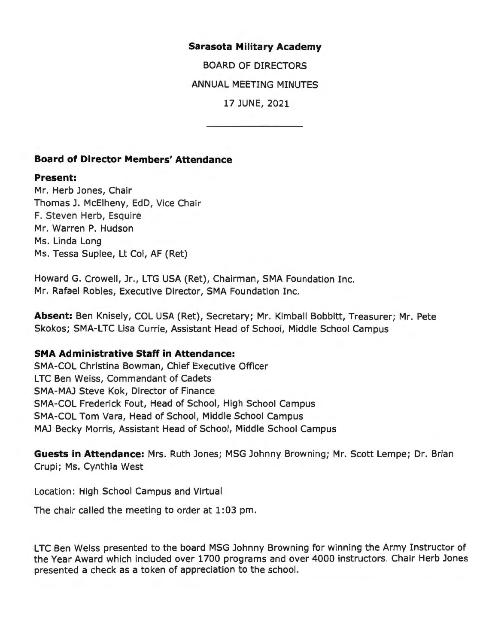#### **Sarasota Military Academy**

BOARD OF DIRECTORS

ANNUAL MEETING MINUTES

17 JUNE, 2021

### **Board of Director Members' Attendance**

#### **Present:**

Mr. Herb Jones, Chair Thomas J. McElheny, EdD, Vice Chair F. Steven Herb, Esquire Mr. Warren P. Hudson Ms. Linda Long Ms. Tessa Suplee, Lt Col, AF (Ret)

Howard G. Crowell, Jr., LTG USA (Ret), Chairman, SMA Foundation Inc. Mr. Rafael Robles, Executive Director, SMA Foundation Inc.

**Absent:** Ben Knisely, COL USA (Ret), Secretary; Mr. Kimball Bobbitt, Treasurer; Mr. Pete Skokos; SMA-LTC Lisa Currie, Assistant Head of School, Middle School Campus

### **SMA Administrative Staff in Attendance:**

SMA-COL Christina Bowman, Chief Executive Officer LTC Ben Weiss, Commandant of Cadets SMA-MAJ Steve Kok, Director of Finance SMA-COL Frederick Fout, Head of School, High School Campus SMA-COL Tom Vara, Head of School, Middle School Campus MAJ Becky Morris, Assistant Head of School, Middle School Campus

**Guests in Attendance:** Mrs. Ruth Jones; MSG Johnny Browning; Mr. Scott Lempe; Dr. Brian Crupi; Ms. Cynthia West

Location: High School Campus and Virtual

The chair called the meeting to order at 1 :03 pm.

LTC Ben Weiss presented to the board MSG Johnny Browning for winning the Army Instructor of the Year Award which included over 1700 programs and over 4000 instructors. Chair Herb Jones presented a check as a token of appreciation to the school.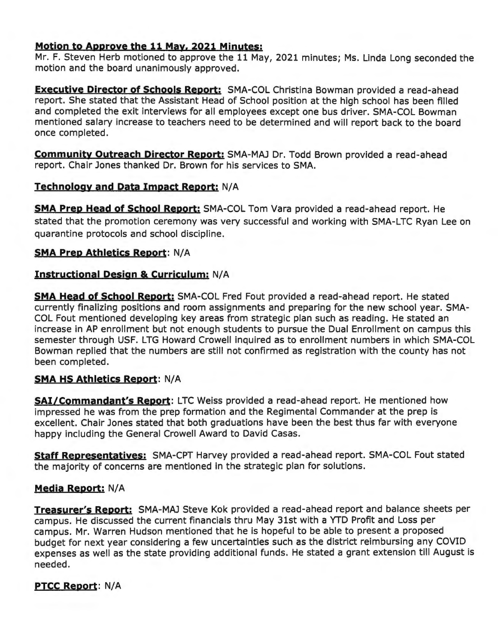### **Motion to Approve the 11 May. 2021 Minutes:**

Mr. F. Steven Herb motioned to approve the 11 May, 2021 minutes; Ms. Linda Long seconded the motion and the board unanimously approved.

**Executive Director of Schools Report:** SMA-COL Christina Bowman provided a read-ahead report. She stated that the Assistant Head of School position at the high school has been filled and completed the exit interviews for all employees except one bus driver. SMA-COL Bowman mentioned salary increase to teachers need to be determined and will report back to the board once completed.

**Community Outreach Director Report:** SMA-MAJ Dr. Todd Brown provided a read-ahead report. Chair Jones thanked Dr. Brown for his services to SMA.

## **Technology and Data Impact Report: N/A**

**SMA Prep Head of School Report:** SMA-COL Tom Vara provided a read-ahead report. He stated that the promotion ceremony was very successful and working with SMA-LTC Ryan Lee on quarantine protocols and school discipline.

## **SMA Prep Athletics Report:** N/A

## **Instructional Design & Curriculum:** N/ A

**SMA Head of School Report:** SMA-COL Fred Fout provided a read-ahead report. He stated currently finalizing positions and room assignments and preparing for the new school year. SMA-COL Fout mentioned developing key areas from strategic plan such as reading. He stated an increase in AP enrollment but not enough students to pursue the Dual Enrollment on campus this semester through USF. LTG Howard Crowell inquired as to enrollment numbers in which SMA-COL Bowman replied that the numbers are still not confirmed as registration with the county has not been completed.

### **SMA HS Athletics Report:** N/A

**SAi/Commandant's Report:** LTC Weiss provided a read-ahead report. He mentioned how impressed he was from the prep formation and the Regimental Commander at the prep is excellent. Chair Jones stated that both graduations have been the best thus far with everyone happy including the General Crowell Award to David Casas.

**Staff Representatives:** SMA-CPT Harvey provided a read-ahead report. SMA-COL Fout stated the majority of concerns are mentioned in the strategic plan for solutions.

### **Media Report: N/A**

**Treasurer's Report:** SMA-MAJ Steve Kok provided a read-ahead report and balance sheets per campus. He discussed the current financials thru May 31st with a YTD Profit and Loss per campus. Mr. Warren Hudson mentioned that he is hopeful to be able to present a proposed budget for next year considering a few uncertainties such as the district reimbursing any COVID expenses as well as the state providing additional funds. He stated a grant extension till August is needed.

### **PTCC Report:** N/A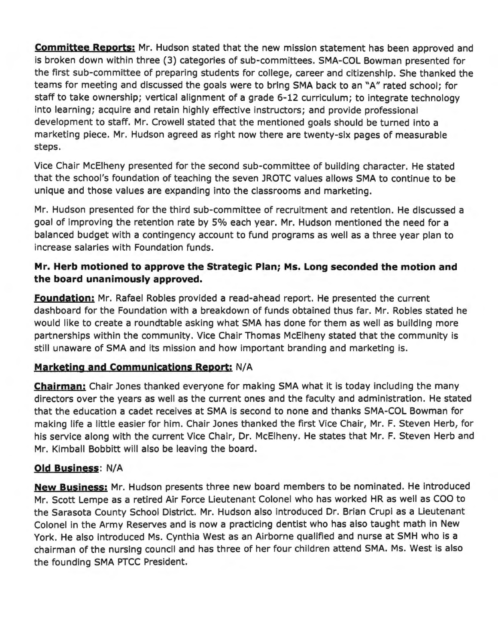**Committee Reports:** Mr. Hudson stated that the new mission statement has been approved and is broken down within three (3) categories of sub-committees. SMA-COL Bowman presented for the first sub-committee of preparing students for college, career and citizenship. She thanked the teams for meeting and discussed the goals were to bring SMA back to an "A" rated school; for staff to take ownership; vertical alignment of a grade 6-12 curriculum; to integrate technology into learning; acquire and retain highly effective instructors; and provide professional development to staff. Mr. Crowell stated that the mentioned goals should be turned into a marketing piece. Mr. Hudson agreed as right now there are twenty-six pages of measurable steps.

Vice Chair McElheny presented for the second sub-committee of building character. He stated that the school's foundation of teaching the seven JROTC values allows SMA to continue to be unique and those values are expanding into the classrooms and marketing.

Mr. Hudson presented for the third sub-committee of recruitment and retention. He discussed a goal of improving the retention rate by 5% each year. Mr. Hudson mentioned the need for a balanced budget with a contingency account to fund programs as well as a three year plan to increase salaries with Foundation funds.

# **Mr. Herb motioned to approve the Strategic Plan; Ms. Long seconded the motion and the board unanimously approved.**

**Foundation:** Mr. Rafael Robles provided a read-ahead report. He presented the current dashboard for the Foundation with a breakdown of funds obtained thus far. Mr. Robles stated he would like to create a roundtable asking what SMA has done for them as well as building more partnerships within the community. Vice Chair Thomas McElheny stated that the community is still unaware of SMA and its mission and how important branding and marketing is.

# **Marketing and Communications Report: N/A**

**Chairman:** Chair Jones thanked everyone for making SMA what it is today including the many directors over the years as well as the current ones and the faculty and administration. He stated that the education a cadet receives at SMA is second to none and thanks SMA-COL Bowman for making life a little easier for him. Chair Jones thanked the first Vice Chair, Mr. F. Steven Herb, for his service along with the current Vice Chair, Dr. McElheny. He states that Mr. F. Steven Herb and Mr. Kimball Bobbitt will also be leaving the board.

# **Old Business:** N/A

**New Business:** Mr. Hudson presents three new board members to be nominated. He introduced Mr. Scott Lempe as a retired Air Force Lieutenant Colonel who has worked HR as well as COO to the Sarasota County School District. Mr. Hudson also introduced Dr. Brian Crupi as a Lieutenant Colonel in the Army Reserves and is now a practicing dentist who has also taught math in New York. He also introduced Ms. Cynthia West as an Airborne qualified and nurse at SMH who is a chairman of the nursing council and has three of her four children attend SMA. Ms. West is also the founding SMA PTCC President.